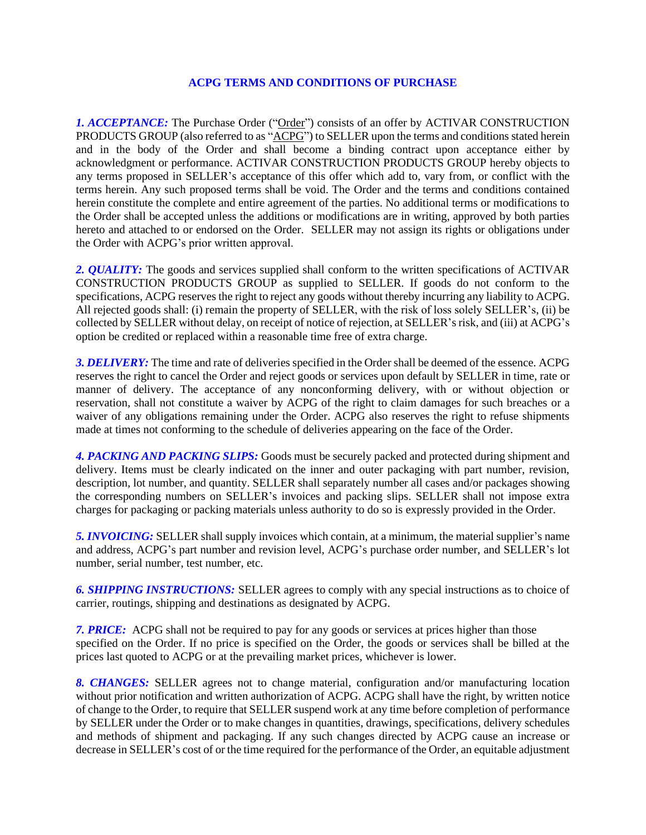## **ACPG TERMS AND CONDITIONS OF PURCHASE**

*1. ACCEPTANCE:* The Purchase Order ("Order") consists of an offer by ACTIVAR CONSTRUCTION PRODUCTS GROUP (also referred to as "ACPG") to SELLER upon the terms and conditions stated herein and in the body of the Order and shall become a binding contract upon acceptance either by acknowledgment or performance. ACTIVAR CONSTRUCTION PRODUCTS GROUP hereby objects to any terms proposed in SELLER's acceptance of this offer which add to, vary from, or conflict with the terms herein. Any such proposed terms shall be void. The Order and the terms and conditions contained herein constitute the complete and entire agreement of the parties. No additional terms or modifications to the Order shall be accepted unless the additions or modifications are in writing, approved by both parties hereto and attached to or endorsed on the Order. SELLER may not assign its rights or obligations under the Order with ACPG's prior written approval.

2. *QUALITY:* The goods and services supplied shall conform to the written specifications of ACTIVAR CONSTRUCTION PRODUCTS GROUP as supplied to SELLER. If goods do not conform to the specifications, ACPG reserves the right to reject any goods without thereby incurring any liability to ACPG. All rejected goods shall: (i) remain the property of SELLER, with the risk of loss solely SELLER's, (ii) be collected by SELLER without delay, on receipt of notice of rejection, at SELLER's risk, and (iii) at ACPG's option be credited or replaced within a reasonable time free of extra charge.

*3. DELIVERY:* The time and rate of deliveries specified in the Order shall be deemed of the essence. ACPG reserves the right to cancel the Order and reject goods or services upon default by SELLER in time, rate or manner of delivery. The acceptance of any nonconforming delivery, with or without objection or reservation, shall not constitute a waiver by ACPG of the right to claim damages for such breaches or a waiver of any obligations remaining under the Order. ACPG also reserves the right to refuse shipments made at times not conforming to the schedule of deliveries appearing on the face of the Order.

*4. PACKING AND PACKING SLIPS:* Goods must be securely packed and protected during shipment and delivery. Items must be clearly indicated on the inner and outer packaging with part number, revision, description, lot number, and quantity. SELLER shall separately number all cases and/or packages showing the corresponding numbers on SELLER's invoices and packing slips. SELLER shall not impose extra charges for packaging or packing materials unless authority to do so is expressly provided in the Order.

*5. INVOICING:* SELLER shall supply invoices which contain, at a minimum, the material supplier's name and address, ACPG's part number and revision level, ACPG's purchase order number, and SELLER's lot number, serial number, test number, etc.

*6. SHIPPING INSTRUCTIONS:* SELLER agrees to comply with any special instructions as to choice of carrier, routings, shipping and destinations as designated by ACPG.

*7. PRICE:* ACPG shall not be required to pay for any goods or services at prices higher than those specified on the Order. If no price is specified on the Order, the goods or services shall be billed at the prices last quoted to ACPG or at the prevailing market prices, whichever is lower.

*8. CHANGES:* SELLER agrees not to change material, configuration and/or manufacturing location without prior notification and written authorization of ACPG. ACPG shall have the right, by written notice of change to the Order, to require that SELLER suspend work at any time before completion of performance by SELLER under the Order or to make changes in quantities, drawings, specifications, delivery schedules and methods of shipment and packaging. If any such changes directed by ACPG cause an increase or decrease in SELLER's cost of or the time required for the performance of the Order, an equitable adjustment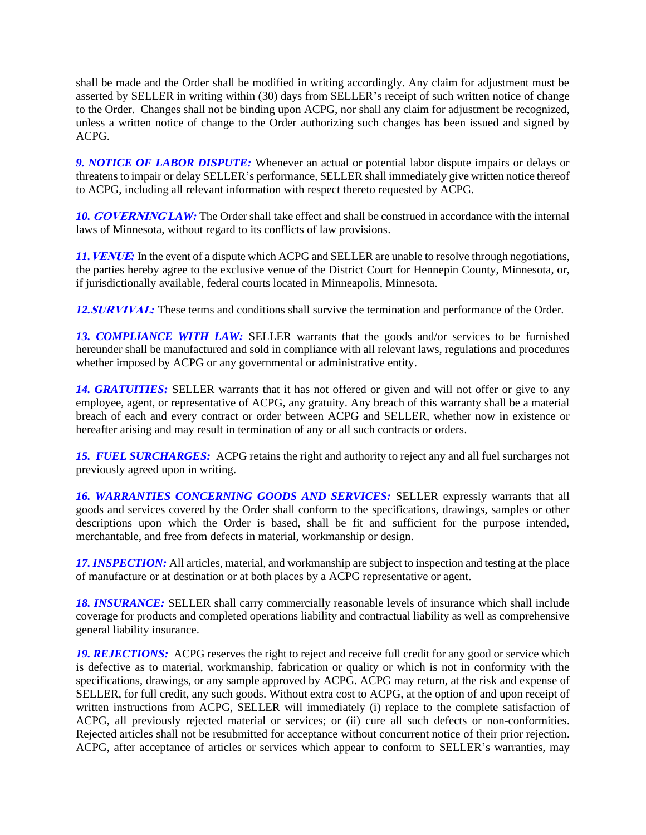shall be made and the Order shall be modified in writing accordingly. Any claim for adjustment must be asserted by SELLER in writing within (30) days from SELLER's receipt of such written notice of change to the Order. Changes shall not be binding upon ACPG, nor shall any claim for adjustment be recognized, unless a written notice of change to the Order authorizing such changes has been issued and signed by ACPG.

*9. NOTICE OF LABOR DISPUTE:* Whenever an actual or potential labor dispute impairs or delays or threatens to impair or delay SELLER's performance, SELLER shall immediately give written notice thereof to ACPG, including all relevant information with respect thereto requested by ACPG.

10. **GOVERNINGLAW:** The Order shall take effect and shall be construed in accordance with the internal laws of Minnesota, without regard to its conflicts of law provisions.

*11.***VENUE***:* In the event of a dispute which ACPG and SELLER are unable to resolve through negotiations, the parties hereby agree to the exclusive venue of the District Court for Hennepin County, Minnesota, or, if jurisdictionally available, federal courts located in Minneapolis, Minnesota.

*12.***SURVIVAL***:* These terms and conditions shall survive the termination and performance of the Order.

13. COMPLIANCE WITH LAW: SELLER warrants that the goods and/or services to be furnished hereunder shall be manufactured and sold in compliance with all relevant laws, regulations and procedures whether imposed by ACPG or any governmental or administrative entity.

*14. GRATUITIES:* SELLER warrants that it has not offered or given and will not offer or give to any employee, agent, or representative of ACPG, any gratuity. Any breach of this warranty shall be a material breach of each and every contract or order between ACPG and SELLER, whether now in existence or hereafter arising and may result in termination of any or all such contracts or orders.

*15. FUEL SURCHARGES:* ACPG retains the right and authority to reject any and all fuel surcharges not previously agreed upon in writing.

*16. WARRANTIES CONCERNING GOODS AND SERVICES:* SELLER expressly warrants that all goods and services covered by the Order shall conform to the specifications, drawings, samples or other descriptions upon which the Order is based, shall be fit and sufficient for the purpose intended, merchantable, and free from defects in material, workmanship or design.

*17. INSPECTION:* All articles, material, and workmanship are subject to inspection and testing at the place of manufacture or at destination or at both places by a ACPG representative or agent.

18. INSURANCE: SELLER shall carry commercially reasonable levels of insurance which shall include coverage for products and completed operations liability and contractual liability as well as comprehensive general liability insurance.

*19. REJECTIONS:* ACPG reserves the right to reject and receive full credit for any good or service which is defective as to material, workmanship, fabrication or quality or which is not in conformity with the specifications, drawings, or any sample approved by ACPG. ACPG may return, at the risk and expense of SELLER, for full credit, any such goods. Without extra cost to ACPG, at the option of and upon receipt of written instructions from ACPG, SELLER will immediately (i) replace to the complete satisfaction of ACPG, all previously rejected material or services; or (ii) cure all such defects or non-conformities. Rejected articles shall not be resubmitted for acceptance without concurrent notice of their prior rejection. ACPG, after acceptance of articles or services which appear to conform to SELLER's warranties, may